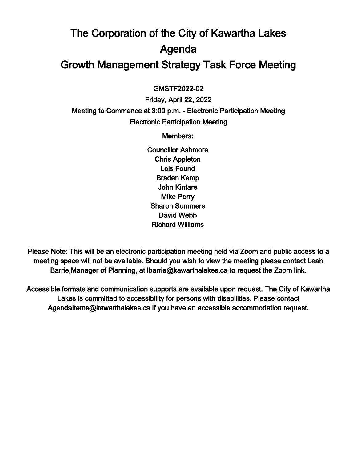# The Corporation of the City of Kawartha Lakes Agenda Growth Management Strategy Task Force Meeting

 $\overline{a}$ GMSTF2022-02

Friday, April 22, 2022 Meeting to Commence at 3:00 p.m. - Electronic Participation Meeting Electronic Participation Meeting

Members:

Councillor Ashmore Chris Appleton Lois Found Braden Kemp John Kintare Mike Perry Sharon Summers David Webb Richard Williams

Please Note: This will be an electronic participation meeting held via Zoom and public access to a meeting space will not be available. Should you wish to view the meeting please contact Leah Barrie,Manager of Planning, at lbarrie@kawarthalakes.ca to request the Zoom link.

Accessible formats and communication supports are available upon request. The City of Kawartha Lakes is committed to accessibility for persons with disabilities. Please contact AgendaItems@kawarthalakes.ca if you have an accessible accommodation request.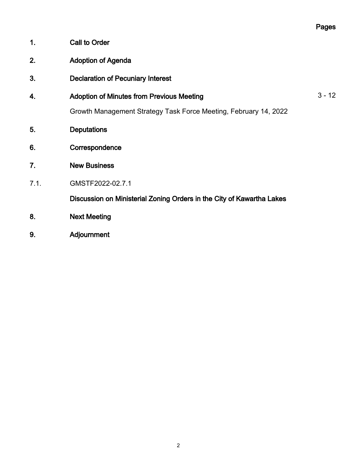|      |                                                                       | Pages    |
|------|-----------------------------------------------------------------------|----------|
| 1.   | <b>Call to Order</b>                                                  |          |
| 2.   | <b>Adoption of Agenda</b>                                             |          |
| 3.   | <b>Declaration of Pecuniary Interest</b>                              |          |
| 4.   | <b>Adoption of Minutes from Previous Meeting</b>                      | $3 - 12$ |
|      | Growth Management Strategy Task Force Meeting, February 14, 2022      |          |
| 5.   | <b>Deputations</b>                                                    |          |
| 6.   | Correspondence                                                        |          |
| 7.   | <b>New Business</b>                                                   |          |
| 7.1. | GMSTF2022-02.7.1                                                      |          |
|      | Discussion on Ministerial Zoning Orders in the City of Kawartha Lakes |          |
| 8.   | <b>Next Meeting</b>                                                   |          |
| 9.   | Adjournment                                                           |          |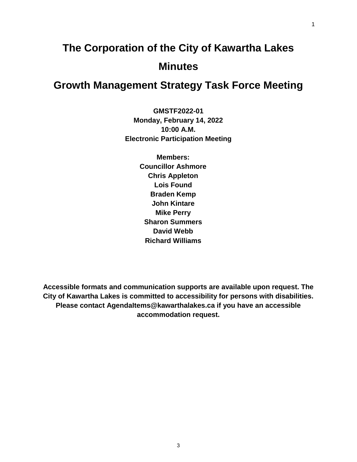# **The Corporation of the City of Kawartha Lakes Minutes**

# **Growth Management Strategy Task Force Meeting**

**GMSTF2022-01 Monday, February 14, 2022 10:00 A.M. Electronic Participation Meeting**

> **Members: Councillor Ashmore Chris Appleton Lois Found Braden Kemp John Kintare Mike Perry Sharon Summers David Webb Richard Williams**

**Accessible formats and communication supports are available upon request. The City of Kawartha Lakes is committed to accessibility for persons with disabilities. Please contact AgendaItems@kawarthalakes.ca if you have an accessible accommodation request.**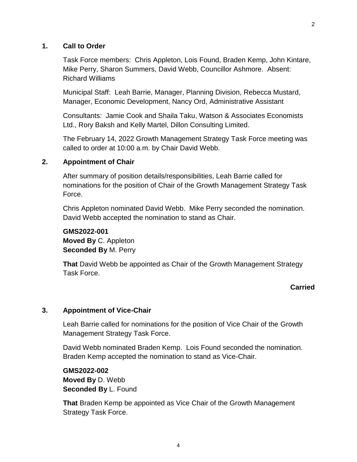#### **1. Call to Order**

Task Force members: Chris Appleton, Lois Found, Braden Kemp, John Kintare, Mike Perry, Sharon Summers, David Webb, Councillor Ashmore. Absent: Richard Williams

Municipal Staff: Leah Barrie, Manager, Planning Division, Rebecca Mustard, Manager, Economic Development, Nancy Ord, Administrative Assistant

Consultants: Jamie Cook and Shaila Taku, Watson & Associates Economists Ltd., Rory Baksh and Kelly Martel, Dillon Consulting Limited.

The February 14, 2022 Growth Management Strategy Task Force meeting was called to order at 10:00 a.m. by Chair David Webb.

#### **2. Appointment of Chair**

After summary of position details/responsibilities, Leah Barrie called for nominations for the position of Chair of the Growth Management Strategy Task Force.

Chris Appleton nominated David Webb. Mike Perry seconded the nomination. David Webb accepted the nomination to stand as Chair.

### **GMS2022-001 Moved By** C. Appleton **Seconded By** M. Perry

**That** David Webb be appointed as Chair of the Growth Management Strategy Task Force.

#### **Carried**

#### **3. Appointment of Vice-Chair**

Leah Barrie called for nominations for the position of Vice Chair of the Growth Management Strategy Task Force.

David Webb nominated Braden Kemp. Lois Found seconded the nomination. Braden Kemp accepted the nomination to stand as Vice-Chair.

**GMS2022-002 Moved By** D. Webb **Seconded By** L. Found

**That** Braden Kemp be appointed as Vice Chair of the Growth Management Strategy Task Force.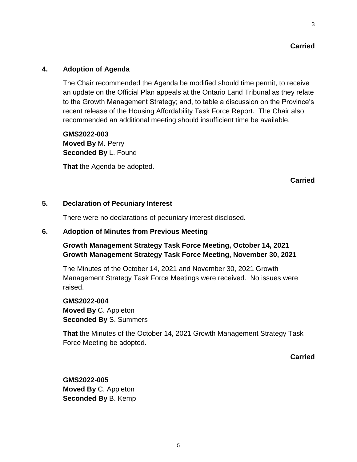#### **Carried**

#### **4. Adoption of Agenda**

The Chair recommended the Agenda be modified should time permit, to receive an update on the Official Plan appeals at the Ontario Land Tribunal as they relate to the Growth Management Strategy; and, to table a discussion on the Province's recent release of the Housing Affordability Task Force Report. The Chair also recommended an additional meeting should insufficient time be available.

**GMS2022-003 Moved By** M. Perry **Seconded By** L. Found

**That** the Agenda be adopted.

#### **5. Declaration of Pecuniary Interest**

There were no declarations of pecuniary interest disclosed.

#### **6. Adoption of Minutes from Previous Meeting**

# **Growth Management Strategy Task Force Meeting, October 14, 2021 Growth Management Strategy Task Force Meeting, November 30, 2021**

The Minutes of the October 14, 2021 and November 30, 2021 Growth Management Strategy Task Force Meetings were received. No issues were raised.

**GMS2022-004 Moved By** C. Appleton **Seconded By** S. Summers

**That** the Minutes of the October 14, 2021 Growth Management Strategy Task Force Meeting be adopted.

**Carried**

**GMS2022-005 Moved By** C. Appleton **Seconded By** B. Kemp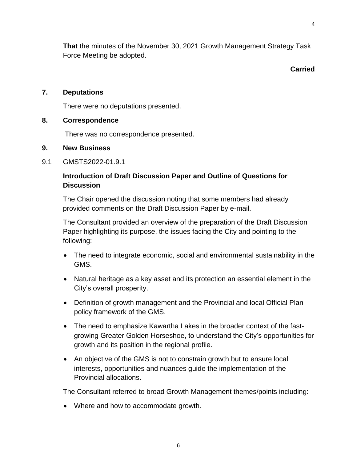**That** the minutes of the November 30, 2021 Growth Management Strategy Task Force Meeting be adopted.

**Carried**

#### **7. Deputations**

There were no deputations presented.

#### **8. Correspondence**

There was no correspondence presented.

#### **9. New Business**

9.1 GMSTS2022-01.9.1

# **Introduction of Draft Discussion Paper and Outline of Questions for Discussion**

The Chair opened the discussion noting that some members had already provided comments on the Draft Discussion Paper by e-mail.

The Consultant provided an overview of the preparation of the Draft Discussion Paper highlighting its purpose, the issues facing the City and pointing to the following:

- The need to integrate economic, social and environmental sustainability in the GMS.
- Natural heritage as a key asset and its protection an essential element in the City's overall prosperity.
- Definition of growth management and the Provincial and local Official Plan policy framework of the GMS.
- The need to emphasize Kawartha Lakes in the broader context of the fastgrowing Greater Golden Horseshoe, to understand the City's opportunities for growth and its position in the regional profile.
- An objective of the GMS is not to constrain growth but to ensure local interests, opportunities and nuances guide the implementation of the Provincial allocations.

The Consultant referred to broad Growth Management themes/points including:

• Where and how to accommodate growth.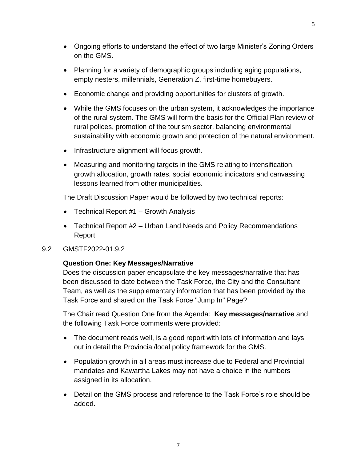- Ongoing efforts to understand the effect of two large Minister's Zoning Orders on the GMS.
- Planning for a variety of demographic groups including aging populations, empty nesters, millennials, Generation Z, first-time homebuyers.
- Economic change and providing opportunities for clusters of growth.
- While the GMS focuses on the urban system, it acknowledges the importance of the rural system. The GMS will form the basis for the Official Plan review of rural polices, promotion of the tourism sector, balancing environmental sustainability with economic growth and protection of the natural environment.
- Infrastructure alignment will focus growth.
- Measuring and monitoring targets in the GMS relating to intensification, growth allocation, growth rates, social economic indicators and canvassing lessons learned from other municipalities.

The Draft Discussion Paper would be followed by two technical reports:

- Technical Report #1 Growth Analysis
- Technical Report #2 Urban Land Needs and Policy Recommendations Report

# 9.2 GMSTF2022-01.9.2

# **Question One: Key Messages/Narrative**

Does the discussion paper encapsulate the key messages/narrative that has been discussed to date between the Task Force, the City and the Consultant Team, as well as the supplementary information that has been provided by the Task Force and shared on the Task Force "Jump In" Page?

The Chair read Question One from the Agenda: **Key messages/narrative** and the following Task Force comments were provided:

- The document reads well, is a good report with lots of information and lays out in detail the Provincial/local policy framework for the GMS.
- Population growth in all areas must increase due to Federal and Provincial mandates and Kawartha Lakes may not have a choice in the numbers assigned in its allocation.
- Detail on the GMS process and reference to the Task Force's role should be added.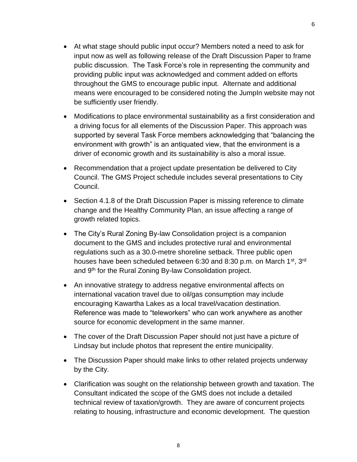- At what stage should public input occur? Members noted a need to ask for input now as well as following release of the Draft Discussion Paper to frame public discussion. The Task Force's role in representing the community and providing public input was acknowledged and comment added on efforts throughout the GMS to encourage public input. Alternate and additional means were encouraged to be considered noting the JumpIn website may not be sufficiently user friendly.
- Modifications to place environmental sustainability as a first consideration and a driving focus for all elements of the Discussion Paper. This approach was supported by several Task Force members acknowledging that "balancing the environment with growth" is an antiquated view, that the environment is a driver of economic growth and its sustainability is also a moral issue.
- Recommendation that a project update presentation be delivered to City Council. The GMS Project schedule includes several presentations to City Council.
- Section 4.1.8 of the Draft Discussion Paper is missing reference to climate change and the Healthy Community Plan, an issue affecting a range of growth related topics.
- The City's Rural Zoning By-law Consolidation project is a companion document to the GMS and includes protective rural and environmental regulations such as a 30.0-metre shoreline setback. Three public open houses have been scheduled between 6:30 and 8:30 p.m. on March 1<sup>st</sup>, 3<sup>rd</sup> and 9<sup>th</sup> for the Rural Zoning By-law Consolidation project.
- An innovative strategy to address negative environmental affects on international vacation travel due to oil/gas consumption may include encouraging Kawartha Lakes as a local travel/vacation destination. Reference was made to "teleworkers" who can work anywhere as another source for economic development in the same manner.
- The cover of the Draft Discussion Paper should not just have a picture of Lindsay but include photos that represent the entire municipality.
- The Discussion Paper should make links to other related projects underway by the City.
- Clarification was sought on the relationship between growth and taxation. The Consultant indicated the scope of the GMS does not include a detailed technical review of taxation/growth. They are aware of concurrent projects relating to housing, infrastructure and economic development. The question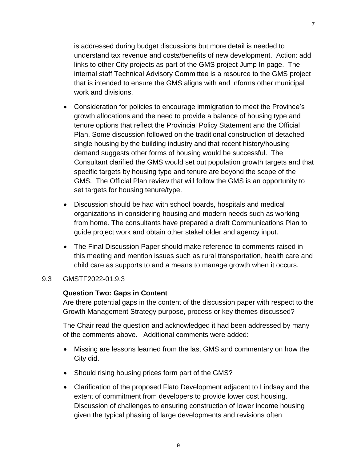is addressed during budget discussions but more detail is needed to understand tax revenue and costs/benefits of new development. Action: add links to other City projects as part of the GMS project Jump In page. The internal staff Technical Advisory Committee is a resource to the GMS project that is intended to ensure the GMS aligns with and informs other municipal work and divisions.

- Consideration for policies to encourage immigration to meet the Province's growth allocations and the need to provide a balance of housing type and tenure options that reflect the Provincial Policy Statement and the Official Plan. Some discussion followed on the traditional construction of detached single housing by the building industry and that recent history/housing demand suggests other forms of housing would be successful. The Consultant clarified the GMS would set out population growth targets and that specific targets by housing type and tenure are beyond the scope of the GMS. The Official Plan review that will follow the GMS is an opportunity to set targets for housing tenure/type.
- Discussion should be had with school boards, hospitals and medical organizations in considering housing and modern needs such as working from home. The consultants have prepared a draft Communications Plan to guide project work and obtain other stakeholder and agency input.
- The Final Discussion Paper should make reference to comments raised in this meeting and mention issues such as rural transportation, health care and child care as supports to and a means to manage growth when it occurs.

#### 9.3 GMSTF2022-01.9.3

#### **Question Two: Gaps in Content**

Are there potential gaps in the content of the discussion paper with respect to the Growth Management Strategy purpose, process or key themes discussed?

The Chair read the question and acknowledged it had been addressed by many of the comments above. Additional comments were added:

- Missing are lessons learned from the last GMS and commentary on how the City did.
- Should rising housing prices form part of the GMS?
- Clarification of the proposed Flato Development adjacent to Lindsay and the extent of commitment from developers to provide lower cost housing. Discussion of challenges to ensuring construction of lower income housing given the typical phasing of large developments and revisions often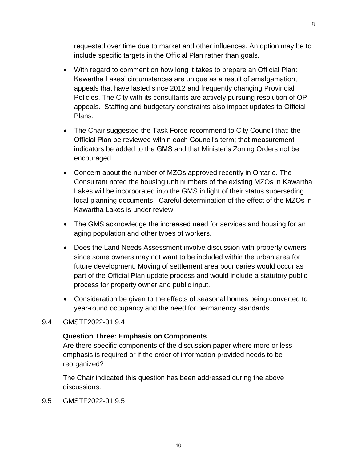requested over time due to market and other influences. An option may be to include specific targets in the Official Plan rather than goals.

- With regard to comment on how long it takes to prepare an Official Plan: Kawartha Lakes' circumstances are unique as a result of amalgamation, appeals that have lasted since 2012 and frequently changing Provincial Policies. The City with its consultants are actively pursuing resolution of OP appeals. Staffing and budgetary constraints also impact updates to Official Plans.
- The Chair suggested the Task Force recommend to City Council that: the Official Plan be reviewed within each Council's term; that measurement indicators be added to the GMS and that Minister's Zoning Orders not be encouraged.
- Concern about the number of MZOs approved recently in Ontario. The Consultant noted the housing unit numbers of the existing MZOs in Kawartha Lakes will be incorporated into the GMS in light of their status superseding local planning documents. Careful determination of the effect of the MZOs in Kawartha Lakes is under review.
- The GMS acknowledge the increased need for services and housing for an aging population and other types of workers.
- Does the Land Needs Assessment involve discussion with property owners since some owners may not want to be included within the urban area for future development. Moving of settlement area boundaries would occur as part of the Official Plan update process and would include a statutory public process for property owner and public input.
- Consideration be given to the effects of seasonal homes being converted to year-round occupancy and the need for permanency standards.

#### 9.4 GMSTF2022-01.9.4

#### **Question Three: Emphasis on Components**

Are there specific components of the discussion paper where more or less emphasis is required or if the order of information provided needs to be reorganized?

The Chair indicated this question has been addressed during the above discussions.

9.5 GMSTF2022-01.9.5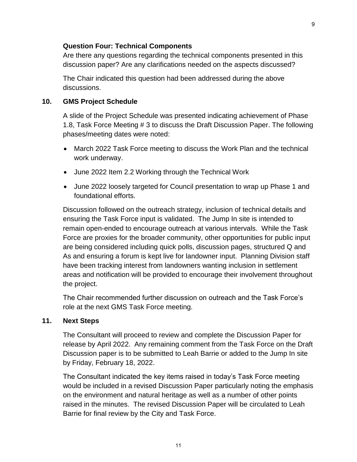#### **Question Four: Technical Components**

Are there any questions regarding the technical components presented in this discussion paper? Are any clarifications needed on the aspects discussed?

The Chair indicated this question had been addressed during the above discussions.

#### **10. GMS Project Schedule**

A slide of the Project Schedule was presented indicating achievement of Phase 1.8, Task Force Meeting # 3 to discuss the Draft Discussion Paper. The following phases/meeting dates were noted:

- March 2022 Task Force meeting to discuss the Work Plan and the technical work underway.
- June 2022 Item 2.2 Working through the Technical Work
- June 2022 loosely targeted for Council presentation to wrap up Phase 1 and foundational efforts.

Discussion followed on the outreach strategy, inclusion of technical details and ensuring the Task Force input is validated. The Jump In site is intended to remain open-ended to encourage outreach at various intervals. While the Task Force are proxies for the broader community, other opportunities for public input are being considered including quick polls, discussion pages, structured Q and As and ensuring a forum is kept live for landowner input. Planning Division staff have been tracking interest from landowners wanting inclusion in settlement areas and notification will be provided to encourage their involvement throughout the project.

The Chair recommended further discussion on outreach and the Task Force's role at the next GMS Task Force meeting.

#### **11. Next Steps**

The Consultant will proceed to review and complete the Discussion Paper for release by April 2022. Any remaining comment from the Task Force on the Draft Discussion paper is to be submitted to Leah Barrie or added to the Jump In site by Friday, February 18, 2022.

The Consultant indicated the key items raised in today's Task Force meeting would be included in a revised Discussion Paper particularly noting the emphasis on the environment and natural heritage as well as a number of other points raised in the minutes. The revised Discussion Paper will be circulated to Leah Barrie for final review by the City and Task Force.